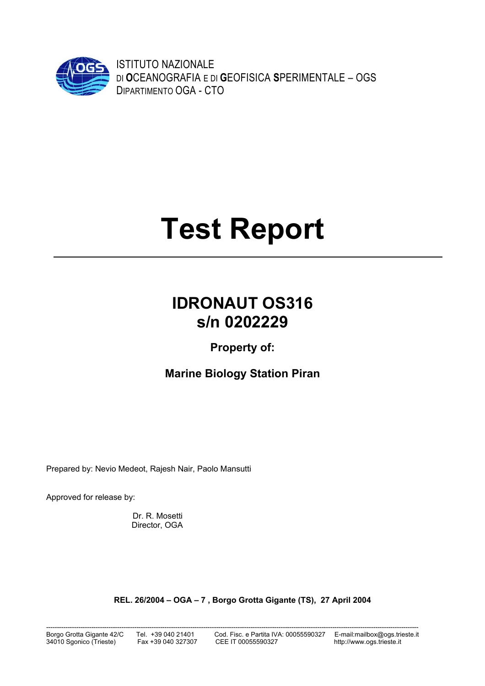

ISTITUTO NAZIONALE DI **O**CEANOGRAFIA E DI **G**EOFISICA **S**PERIMENTALE – OGS DIPARTIMENTO OGA - CTO

# **Test Report**

## **IDRONAUT OS316 s/n 0202229**

## **Property of:**

## **Marine Biology Station Piran**

Prepared by: Nevio Medeot, Rajesh Nair, Paolo Mansutti

Approved for release by:

 Dr. R. Mosetti Director, OGA

**REL. 26/2004 – OGA – 7 , Borgo Grotta Gigante (TS), 27 April 2004**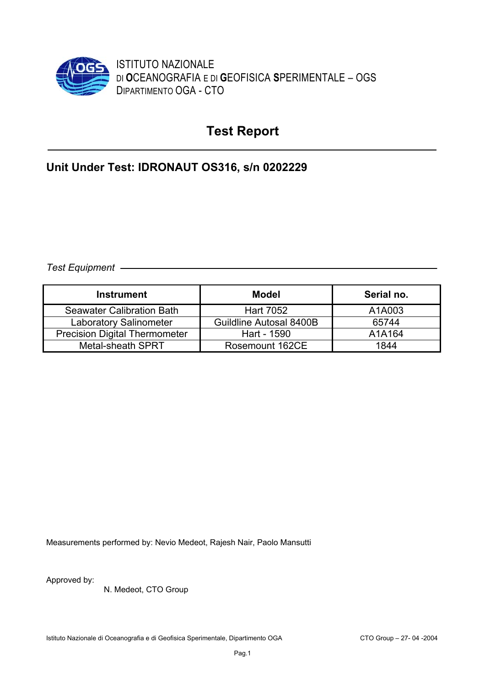

ISTITUTO NAZIONALE DI **O**CEANOGRAFIA E DI **G**EOFISICA **S**PERIMENTALE – OGS DIPARTIMENTO OGA - CTO

## **Test Report**

### **Unit Under Test: IDRONAUT OS316, s/n 0202229**

*Test Equipment* 

| <b>Instrument</b>                    | Model                   | Serial no. |
|--------------------------------------|-------------------------|------------|
| Seawater Calibration Bath            | Hart 7052               | A1A003     |
| <b>Laboratory Salinometer</b>        | Guildline Autosal 8400B | 65744      |
| <b>Precision Digital Thermometer</b> | Hart - 1590             | A1A164     |
| <b>Metal-sheath SPRT</b>             | Rosemount 162CE         | 1844       |

Measurements performed by: Nevio Medeot, Rajesh Nair, Paolo Mansutti

Approved by:

N. Medeot, CTO Group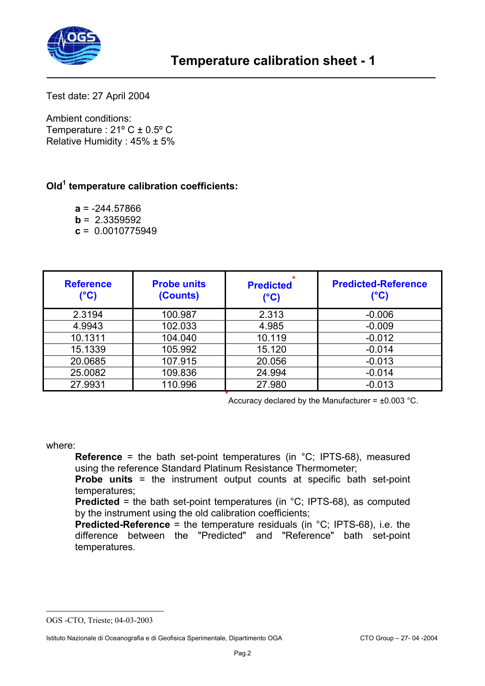

Test date: 27 April 2004

Ambient conditions: Temperature :  $21^{\circ}$  C  $\pm$  0.5° C Relative Humidity : 45% ± 5%

#### **Ol[d1](#page-2-0) temperature calibration coefficients:**

**a** = -244.57866 **b** = 2.3359592 **c** = 0.0010775949

| <b>Reference</b><br>(°C) | <b>Probe units</b><br>(Counts) | <b>Predicted</b><br>$(^{\circ}C)$ | <b>Predicted-Reference</b><br>$(^{\circ}C)$ |
|--------------------------|--------------------------------|-----------------------------------|---------------------------------------------|
| 2.3194                   | 100.987                        | 2.313                             | $-0.006$                                    |
| 4.9943                   | 102.033                        | 4.985                             | $-0.009$                                    |
| 10.1311                  | 104.040                        | 10.119                            | $-0.012$                                    |
| 15.1339                  | 105.992                        | 15.120                            | $-0.014$                                    |
| 20.0685                  | 107.915                        | 20.056                            | $-0.013$                                    |
| 25.0082                  | 109.836                        | 24.994                            | $-0.014$                                    |
| 27.9931                  | 110.996                        | 27.980                            | $-0.013$                                    |

**\*** Accuracy declared by the Manufacturer = ±0.003 °C.

where:

 $\overline{a}$ 

**Reference** = the bath set-point temperatures (in °C; IPTS-68), measured using the reference Standard Platinum Resistance Thermometer;

**Probe units** = the instrument output counts at specific bath set-point temperatures;

**Predicted** = the bath set-point temperatures (in °C; IPTS-68), as computed by the instrument using the old calibration coefficients;

**Predicted-Reference** = the temperature residuals (in °C; IPTS-68), i.e. the difference between the "Predicted" and "Reference" bath set-point temperatures.

<span id="page-2-0"></span>OGS -CTO, Trieste; 04-03-2003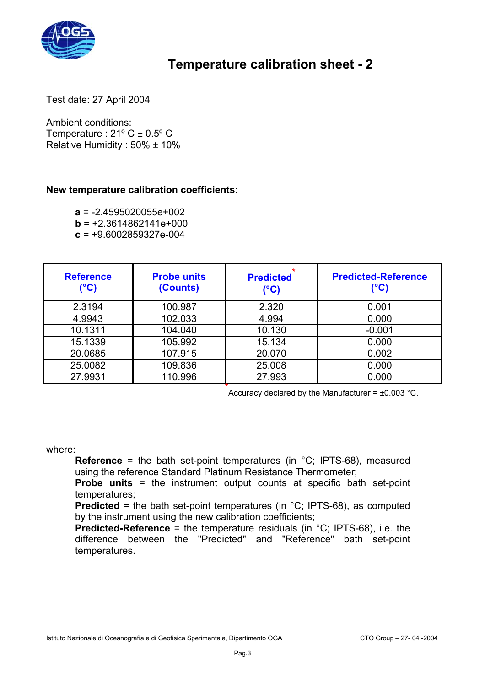

Test date: 27 April 2004

Ambient conditions: Temperature : 21º C ± 0.5º C Relative Humidity : 50% ± 10%

#### **New temperature calibration coefficients:**

**a** = -2.4595020055e+002  $b = +2.3614862141e+000$ **c** = +9.6002859327e-004

| <b>Reference</b><br>(°C) | <b>Probe units</b><br>(Counts) | <b>Predicted</b><br>$(^{\circ}C)$ | <b>Predicted-Reference</b><br>(°C) |
|--------------------------|--------------------------------|-----------------------------------|------------------------------------|
| 2.3194                   | 100.987                        | 2.320                             | 0.001                              |
| 4.9943                   | 102.033                        | 4.994                             | 0.000                              |
| 10.1311                  | 104.040                        | 10.130                            | $-0.001$                           |
| 15.1339                  | 105.992                        | 15.134                            | 0.000                              |
| 20.0685                  | 107.915                        | 20.070                            | 0.002                              |
| 25.0082                  | 109.836                        | 25.008                            | 0.000                              |
| 27.9931                  | 110.996                        | 27.993                            | 0.000                              |

**\*** Accuracy declared by the Manufacturer = ±0.003 °C.

#### where:

**Reference** = the bath set-point temperatures (in °C; IPTS-68), measured using the reference Standard Platinum Resistance Thermometer;

**Probe units** = the instrument output counts at specific bath set-point temperatures;

**Predicted** = the bath set-point temperatures (in °C; IPTS-68), as computed by the instrument using the new calibration coefficients;

**Predicted-Reference** = the temperature residuals (in °C; IPTS-68), i.e. the difference between the "Predicted" and "Reference" bath set-point temperatures.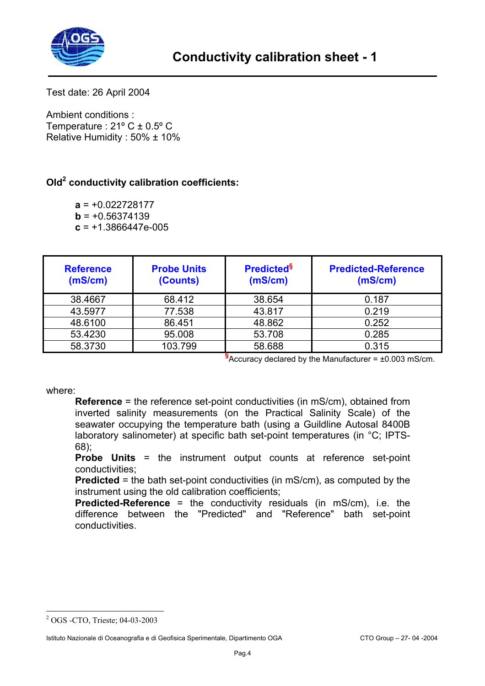

Test date: 26 April 2004

Ambient conditions : Temperature : 21º C ± 0.5º C Relative Humidity : 50% ± 10%

#### **Ol[d2](#page-4-0) conductivity calibration coefficients:**

**a** = +0.022728177  $b = +0.56374139$ **c** = +1.3866447e-005

| <b>Reference</b><br>(mS/cm) | <b>Probe Units</b><br>(Counts) | <b>Predicted</b> <sup>§</sup><br>(mS/cm) | <b>Predicted-Reference</b><br>(mS/cm) |
|-----------------------------|--------------------------------|------------------------------------------|---------------------------------------|
| 38.4667                     | 68.412                         | 38.654                                   | 0.187                                 |
| 43.5977                     | 77.538                         | 43.817                                   | 0.219                                 |
| 48.6100                     | 86.451                         | 48.862                                   | 0.252                                 |
| 53.4230                     | 95.008                         | 53.708                                   | 0.285                                 |
| 58.3730                     | 103.799                        | 58.688                                   | 0.315                                 |

**§** Accuracy declared by the Manufacturer = ±0.003 mS/cm.

#### where:

**Reference** = the reference set-point conductivities (in mS/cm), obtained from inverted salinity measurements (on the Practical Salinity Scale) of the seawater occupying the temperature bath (using a Guildline Autosal 8400B laboratory salinometer) at specific bath set-point temperatures (in °C; IPTS-68);

**Probe Units** = the instrument output counts at reference set-point conductivities;

**Predicted** = the bath set-point conductivities (in mS/cm), as computed by the instrument using the old calibration coefficients;

**Predicted-Reference** = the conductivity residuals (in mS/cm), i.e. the difference between the "Predicted" and "Reference" bath set-point conductivities.

 $\overline{a}$ 

<span id="page-4-0"></span><sup>2</sup> OGS -CTO, Trieste; 04-03-2003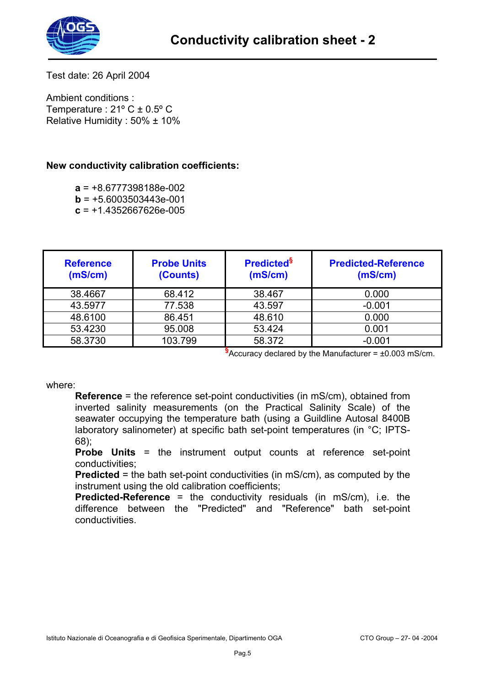



Test date: 26 April 2004

Ambient conditions : Temperature : 21º C ± 0.5º C Relative Humidity : 50% ± 10%

#### **New conductivity calibration coefficients:**

**a** = +8.6777398188e-002  $b = +5.6003503443e-001$ 

**c** = +1.4352667626e-005

| <b>Reference</b><br>(mS/cm) | <b>Probe Units</b><br>(Counts) | <b>Predicted</b> <sup>§</sup><br>(mS/cm) | <b>Predicted-Reference</b><br>(mS/cm) |
|-----------------------------|--------------------------------|------------------------------------------|---------------------------------------|
| 38.4667                     | 68.412                         | 38.467                                   | 0.000                                 |
| 43.5977                     | 77.538                         | 43.597                                   | $-0.001$                              |
| 48.6100                     | 86.451                         | 48.610                                   | 0.000                                 |
| 53.4230                     | 95.008                         | 53.424                                   | 0.001                                 |
| 58.3730                     | 103.799                        | 58.372                                   | $-0.001$                              |

**§** Accuracy declared by the Manufacturer = ±0.003 mS/cm.

where:

**Reference** = the reference set-point conductivities (in mS/cm), obtained from inverted salinity measurements (on the Practical Salinity Scale) of the seawater occupying the temperature bath (using a Guildline Autosal 8400B laboratory salinometer) at specific bath set-point temperatures (in °C; IPTS-68);

**Probe Units** = the instrument output counts at reference set-point conductivities;

**Predicted** = the bath set-point conductivities (in mS/cm), as computed by the instrument using the old calibration coefficients;

**Predicted-Reference** = the conductivity residuals (in mS/cm), i.e. the difference between the "Predicted" and "Reference" bath set-point conductivities.